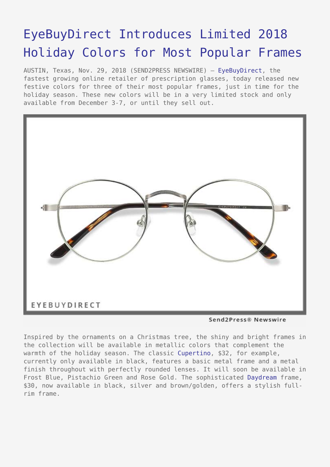## [EyeBuyDirect Introduces Limited 2018](https://www.send2press.com/wire/eyebuydirect-introduces-limited-2018-holiday-colors-for-most-popular-frames/) [Holiday Colors for Most Popular Frames](https://www.send2press.com/wire/eyebuydirect-introduces-limited-2018-holiday-colors-for-most-popular-frames/)

AUSTIN, Texas, Nov. 29, 2018 (SEND2PRESS NEWSWIRE) — [EyeBuyDirect,](https://www.eyebuydirect.com/) the fastest growing online retailer of prescription glasses, today released new festive colors for three of their most popular frames, just in time for the holiday season. These new colors will be in a very limited stock and only available from December 3-7, or until they sell out.



Send2Press® Newswire

Inspired by the ornaments on a Christmas tree, the shiny and bright frames in the collection will be available in metallic colors that complement the warmth of the holiday season. The classic [Cupertino](https://www.eyebuydirect.com/eyeglasses/frames/cupertino-black-s-19207), \$32, for example, currently only available in black, features a basic metal frame and a metal finish throughout with perfectly rounded lenses. It will soon be available in Frost Blue, Pistachio Green and Rose Gold. The sophisticated [Daydream](https://www.eyebuydirect.com/eyeglasses/frames/daydream-black-silver-s-16293) frame, \$30, now available in black, silver and brown/golden, offers a stylish fullrim frame.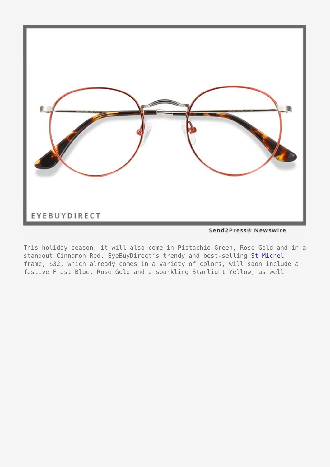

Send2Press® Newswire

This holiday season, it will also come in Pistachio Green, Rose Gold and in a standout Cinnamon Red. EyeBuyDirect's trendy and best-selling [St Michel](https://www.eyebuydirect.com/eyeglasses/frames/st-michel-golden-s-19638) frame, \$32, which already comes in a variety of colors, will soon include a festive Frost Blue, Rose Gold and a sparkling Starlight Yellow, as well.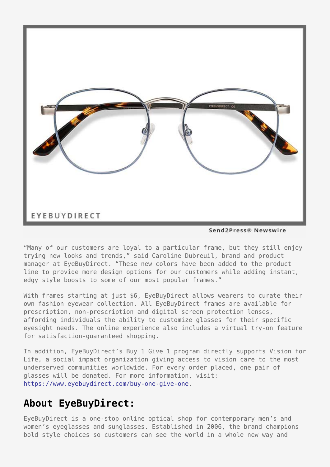

Send2Press® Newswire

"Many of our customers are loyal to a particular frame, but they still enjoy trying new looks and trends," said Caroline Dubreuil, brand and product manager at EyeBuyDirect. "These new colors have been added to the product line to provide more design options for our customers while adding instant, edgy style boosts to some of our most popular frames."

With frames starting at just \$6, EyeBuyDirect allows wearers to curate their own fashion eyewear collection. All EyeBuyDirect frames are available for prescription, non-prescription and digital screen protection lenses, affording individuals the ability to customize glasses for their specific eyesight needs. The online experience also includes a virtual try-on feature for satisfaction-guaranteed shopping.

In addition, EyeBuyDirect's Buy 1 Give 1 program directly supports Vision for Life, a social impact organization giving access to vision care to the most underserved communities worldwide. For every order placed, one pair of glasses will be donated. For more information, visit: [https://www.eyebuydirect.com/buy-one-give-one.](https://www.eyebuydirect.com/buy-one-give-one)

## **About EyeBuyDirect:**

EyeBuyDirect is a one-stop online optical shop for contemporary men's and women's eyeglasses and sunglasses. Established in 2006, the brand champions bold style choices so customers can see the world in a whole new way and